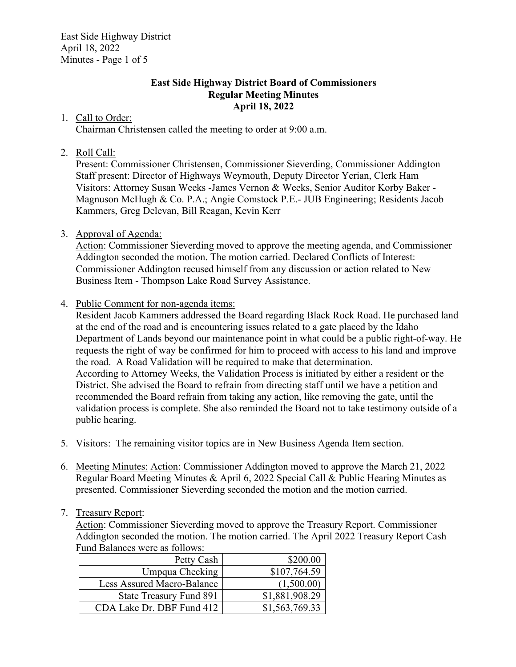East Side Highway District April 18, 2022 Minutes - Page 1 of 5

#### **East Side Highway District Board of Commissioners Regular Meeting Minutes April 18, 2022**

#### 1. Call to Order:

Chairman Christensen called the meeting to order at 9:00 a.m.

# 2. Roll Call:

Present: Commissioner Christensen, Commissioner Sieverding, Commissioner Addington Staff present: Director of Highways Weymouth, Deputy Director Yerian, Clerk Ham Visitors: Attorney Susan Weeks -James Vernon & Weeks, Senior Auditor Korby Baker - Magnuson McHugh & Co. P.A.; Angie Comstock P.E.- JUB Engineering; Residents Jacob Kammers, Greg Delevan, Bill Reagan, Kevin Kerr

# 3. Approval of Agenda:

Action: Commissioner Sieverding moved to approve the meeting agenda, and Commissioner Addington seconded the motion. The motion carried. Declared Conflicts of Interest: Commissioner Addington recused himself from any discussion or action related to New Business Item - Thompson Lake Road Survey Assistance.

# 4. Public Comment for non-agenda items:

Resident Jacob Kammers addressed the Board regarding Black Rock Road. He purchased land at the end of the road and is encountering issues related to a gate placed by the Idaho Department of Lands beyond our maintenance point in what could be a public right-of-way. He requests the right of way be confirmed for him to proceed with access to his land and improve the road. A Road Validation will be required to make that determination. According to Attorney Weeks, the Validation Process is initiated by either a resident or the District. She advised the Board to refrain from directing staff until we have a petition and recommended the Board refrain from taking any action, like removing the gate, until the validation process is complete. She also reminded the Board not to take testimony outside of a public hearing.

- 5. Visitors: The remaining visitor topics are in New Business Agenda Item section.
- 6. Meeting Minutes: Action: Commissioner Addington moved to approve the March 21, 2022 Regular Board Meeting Minutes & April 6, 2022 Special Call & Public Hearing Minutes as presented. Commissioner Sieverding seconded the motion and the motion carried.

# 7. Treasury Report:

Action: Commissioner Sieverding moved to approve the Treasury Report. Commissioner Addington seconded the motion. The motion carried. The April 2022 Treasury Report Cash Fund Balances were as follows:

| Petty Cash                 | \$200.00       |
|----------------------------|----------------|
| Umpqua Checking            | \$107,764.59   |
| Less Assured Macro-Balance | (1,500.00)     |
| State Treasury Fund 891    | \$1,881,908.29 |
| CDA Lake Dr. DBF Fund 412  | \$1,563,769.33 |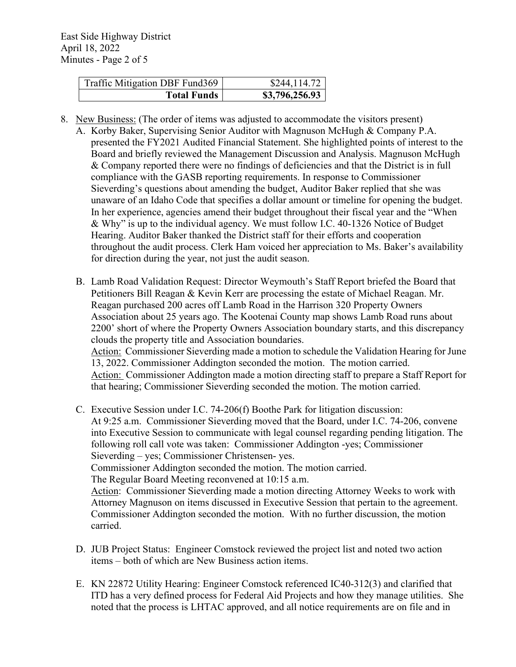| Traffic Mitigation DBF Fund369 | \$244,114.72   |
|--------------------------------|----------------|
| <b>Total Funds</b>             | \$3,796,256.93 |

- 8. New Business: (The order of items was adjusted to accommodate the visitors present)
	- A. Korby Baker, Supervising Senior Auditor with Magnuson McHugh & Company P.A. presented the FY2021 Audited Financial Statement. She highlighted points of interest to the Board and briefly reviewed the Management Discussion and Analysis. Magnuson McHugh & Company reported there were no findings of deficiencies and that the District is in full compliance with the GASB reporting requirements. In response to Commissioner Sieverding's questions about amending the budget, Auditor Baker replied that she was unaware of an Idaho Code that specifies a dollar amount or timeline for opening the budget. In her experience, agencies amend their budget throughout their fiscal year and the "When & Why" is up to the individual agency. We must follow I.C. 40-1326 Notice of Budget Hearing. Auditor Baker thanked the District staff for their efforts and cooperation throughout the audit process. Clerk Ham voiced her appreciation to Ms. Baker's availability for direction during the year, not just the audit season.
	- B. Lamb Road Validation Request: Director Weymouth's Staff Report briefed the Board that Petitioners Bill Reagan & Kevin Kerr are processing the estate of Michael Reagan. Mr. Reagan purchased 200 acres off Lamb Road in the Harrison 320 Property Owners Association about 25 years ago. The Kootenai County map shows Lamb Road runs about 2200' short of where the Property Owners Association boundary starts, and this discrepancy clouds the property title and Association boundaries. Action: Commissioner Sieverding made a motion to schedule the Validation Hearing for June 13, 2022. Commissioner Addington seconded the motion. The motion carried. Action: Commissioner Addington made a motion directing staff to prepare a Staff Report for that hearing; Commissioner Sieverding seconded the motion. The motion carried.
	- C. Executive Session under I.C. 74-206(f) Boothe Park for litigation discussion: At 9:25 a.m. Commissioner Sieverding moved that the Board, under I.C. 74-206, convene into Executive Session to communicate with legal counsel regarding pending litigation. The following roll call vote was taken: Commissioner Addington -yes; Commissioner Sieverding – yes; Commissioner Christensen- yes. Commissioner Addington seconded the motion. The motion carried. The Regular Board Meeting reconvened at 10:15 a.m. Action: Commissioner Sieverding made a motion directing Attorney Weeks to work with Attorney Magnuson on items discussed in Executive Session that pertain to the agreement. Commissioner Addington seconded the motion. With no further discussion, the motion carried.
	- D. JUB Project Status: Engineer Comstock reviewed the project list and noted two action items – both of which are New Business action items.
	- E. KN 22872 Utility Hearing: Engineer Comstock referenced IC40-312(3) and clarified that ITD has a very defined process for Federal Aid Projects and how they manage utilities. She noted that the process is LHTAC approved, and all notice requirements are on file and in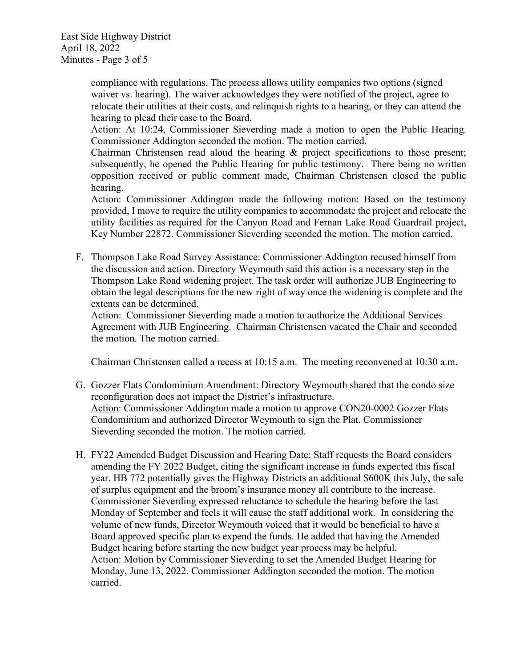East Side Highway District April 18, 2022 Minutes - Page 3 of 5

> compliance with regulations. The process allows utility companies two options (signed waiver vs. hearing). The waiver acknowledges they were notified of the project, agree to relocate their utilities at their costs, and relinquish rights to a hearing, or they can attend the hearing to plead their case to the Board.

Action: At 10:24, Commissioner Sieverding made a motion to open the Public Hearing. Commissioner Addington seconded the motion. The motion carried.

Chairman Christensen read aloud the hearing & project specifications to those present; subsequently, he opened the Public Hearing for public testimony. There being no written opposition received or public comment made, Chairman Christensen closed the public hearing.

Action: Commissioner Addington made the following motion: Based on the testimony provided, I move to require the utility companies to accommodate the project and relocate the utility facilities as required for the Canyon Road and Fernan Lake Road Guardrail project, Key Number 22872. Commissioner Sieverding seconded the motion. The motion carried.

F. Thompson Lake Road Survey Assistance: Commissioner Addington recused himself from the discussion and action. Directory Weymouth said this action is a necessary step in the Thompson Lake Road widening project. The task order will authorize JUB Engineering to obtain the legal descriptions for the new right of way once the widening is complete and the extents can be determined.

Action: Commissioner Sieverding made a motion to authorize the Additional Services Agreement with JUB Engineering. Chairman Christensen vacated the Chair and seconded the motion. The motion carried.

Chairman Christensen called a recess at 10:15 a.m. The meeting reconvened at 10:30 a.m.

- G. Gozzer Flats Condominium Amendment: Directory Weymouth shared that the condo size reconfiguration does not impact the District's infrastructure. Action: Commissioner Addington made a motion to approve CON20-0002 Gozzer Flats Condominium and authorized Director Weymouth to sign the Plat. Commissioner Sieverding seconded the motion. The motion carried.
- H. FY22 Amended Budget Discussion and Hearing Date: Staff requests the Board considers amending the FY 2022 Budget, citing the significant increase in funds expected this fiscal year. HB 772 potentially gives the Highway Districts an additional \$600K this July, the sale of surplus equipment and the broom's insurance money all contribute to the increase. Commissioner Sieverding expressed reluctance to schedule the hearing before the last Monday of September and feels it will cause the staff additional work. In considering the volume of new funds, Director Weymouth voiced that it would be beneficial to have a Board approved specific plan to expend the funds. He added that having the Amended Budget hearing before starting the new budget year process may be helpful. Action: Motion by Commissioner Sieverding to set the Amended Budget Hearing for Monday, June 13, 2022. Commissioner Addington seconded the motion. The motion carried.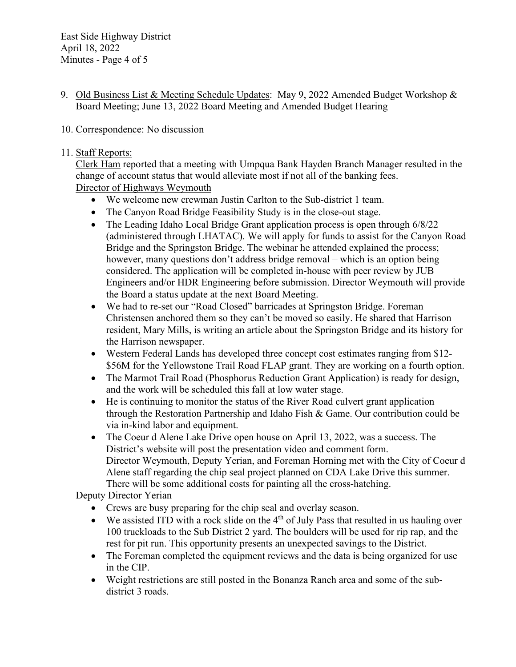9. Old Business List & Meeting Schedule Updates: May 9, 2022 Amended Budget Workshop & Board Meeting; June 13, 2022 Board Meeting and Amended Budget Hearing

# 10. Correspondence: No discussion

#### 11. Staff Reports:

Clerk Ham reported that a meeting with Umpqua Bank Hayden Branch Manager resulted in the change of account status that would alleviate most if not all of the banking fees. Director of Highways Weymouth

- We welcome new crewman Justin Carlton to the Sub-district 1 team.
- The Canyon Road Bridge Feasibility Study is in the close-out stage.
- The Leading Idaho Local Bridge Grant application process is open through 6/8/22 (administered through LHATAC). We will apply for funds to assist for the Canyon Road Bridge and the Springston Bridge. The webinar he attended explained the process; however, many questions don't address bridge removal – which is an option being considered. The application will be completed in-house with peer review by JUB Engineers and/or HDR Engineering before submission. Director Weymouth will provide the Board a status update at the next Board Meeting.
- We had to re-set our "Road Closed" barricades at Springston Bridge. Foreman Christensen anchored them so they can't be moved so easily. He shared that Harrison resident, Mary Mills, is writing an article about the Springston Bridge and its history for the Harrison newspaper.
- Western Federal Lands has developed three concept cost estimates ranging from \$12- \$56M for the Yellowstone Trail Road FLAP grant. They are working on a fourth option.
- The Marmot Trail Road (Phosphorus Reduction Grant Application) is ready for design, and the work will be scheduled this fall at low water stage.
- He is continuing to monitor the status of the River Road culvert grant application through the Restoration Partnership and Idaho Fish & Game. Our contribution could be via in-kind labor and equipment.
- The Coeur d Alene Lake Drive open house on April 13, 2022, was a success. The District's website will post the presentation video and comment form. Director Weymouth, Deputy Yerian, and Foreman Horning met with the City of Coeur d Alene staff regarding the chip seal project planned on CDA Lake Drive this summer. There will be some additional costs for painting all the cross-hatching.

# Deputy Director Yerian

- Crews are busy preparing for the chip seal and overlay season.
- We assisted ITD with a rock slide on the  $4<sup>th</sup>$  of July Pass that resulted in us hauling over 100 truckloads to the Sub District 2 yard. The boulders will be used for rip rap, and the rest for pit run. This opportunity presents an unexpected savings to the District.
- The Foreman completed the equipment reviews and the data is being organized for use in the CIP.
- Weight restrictions are still posted in the Bonanza Ranch area and some of the subdistrict 3 roads.